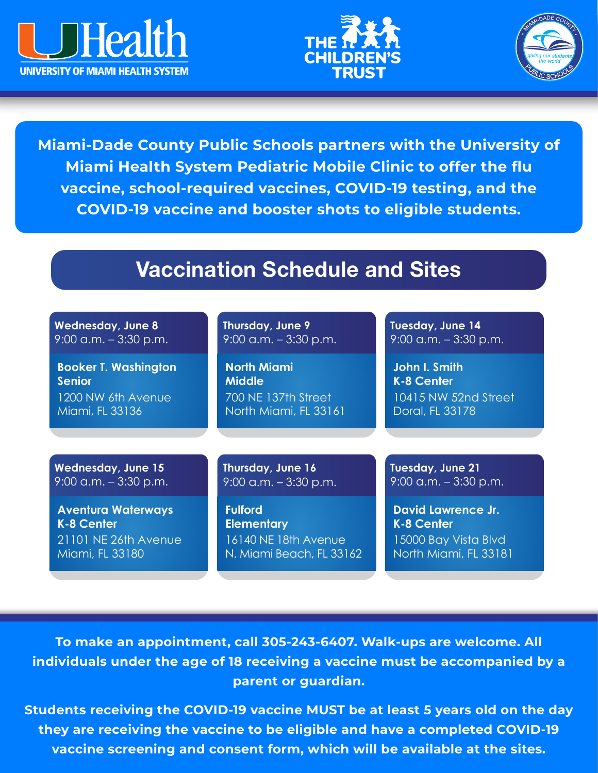





**Miami-Dade County Public Schools partners with the University of Miami Health System Pediatric Mobile Clinic to offer the flu vaccine, school-required vaccines, COVID-19 testing, and the COVID-19 vaccine and booster shots to eligible students.**

# Vaccination Schedule and Sites

| <b>Wednesday, June 8</b>    | Thursday, June 9            | Tuesday, June 14          |
|-----------------------------|-----------------------------|---------------------------|
| $9:00$ a.m. $-3:30$ p.m.    | $9:00$ a.m. $-3:30$ p.m.    | $9:00$ a.m. $-3:30$ p.m.  |
| <b>Booker T. Washington</b> | <b>North Miami</b>          | John I. Smith             |
| <b>Senior</b>               | <b>Middle</b>               | <b>K-8 Center</b>         |
| 1200 NW 6th Avenue          | 700 NE 137th Street         | 10415 NW 52nd Street      |
| Miami, FL 33136             | North Miami, FL 33161       | Doral, FL 33178           |
|                             |                             |                           |
| <b>Wednesday, June 15</b>   | Thursday, June 16           | Tuesday, June 21          |
| $9:00$ a.m. $-3:30$ p.m.    | $9:00$ a.m. $-3:30$ p.m.    | $9:00$ a.m. $-3:30$ p.m.  |
| <b>Aventura Waterways</b>   | <b>Fulford</b>              | <b>David Lawrence Jr.</b> |
| <b>K-8 Center</b>           | <b>Elementary</b>           | <b>K-8 Center</b>         |
| 21101 NE 26th Avenue        | <b>16140 NE 18th Avenue</b> | 15000 Bay Vista Blvd      |
| Miami, FL 33180             | N. Miami Beach, FL 33162    | North Miami, FL 33181     |

**To make an appointment, call 305-243-6407. Walk-ups are welcome. All individuals under the age of 18 receiving a vaccine must be accompanied by a parent or guardian.** 

**Students receiving the COVID-19 vaccine MUST be at least 5 years old on the day they are receiving the vaccine to be eligible and have a completed COVID-19 vaccine screening and consent form, which will be available at the sites.**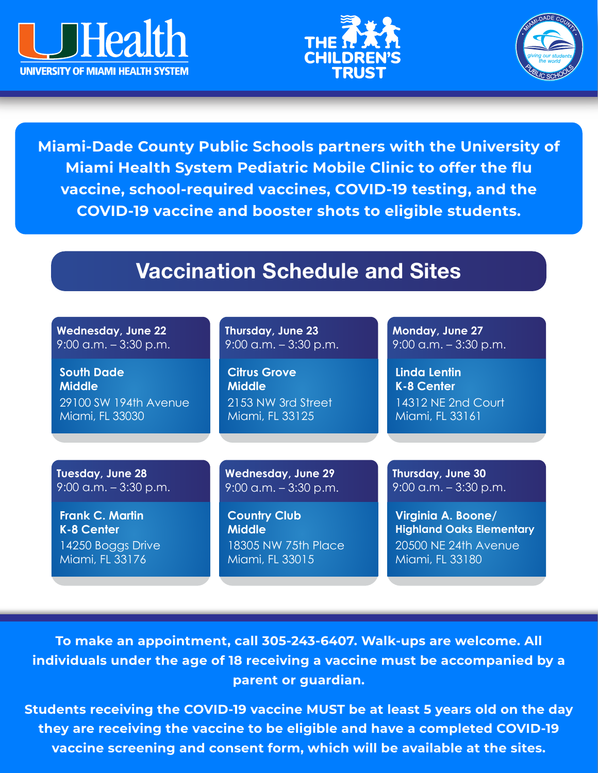





**Miami-Dade County Public Schools partners with the University of Miami Health System Pediatric Mobile Clinic to offer the flu vaccine, school-required vaccines, COVID-19 testing, and the COVID-19 vaccine and booster shots to eligible students.**

# Vaccination Schedule and Sites

| <b>Wednesday, June 22</b> | Thursday, June 23         | Monday, June 27                 |
|---------------------------|---------------------------|---------------------------------|
| $9:00$ a.m. $-3:30$ p.m.  | $9:00$ a.m. $-3:30$ p.m.  | $9:00$ a.m. $-3:30$ p.m.        |
| <b>South Dade</b>         | <b>Citrus Grove</b>       | <b>Linda Lentin</b>             |
| <b>Middle</b>             | <b>Middle</b>             | <b>K-8 Center</b>               |
| 29100 SW 194th Avenue     | 2153 NW 3rd Street        | 14312 NE 2nd Court              |
| Miami, FL 33030           | Miami, FL 33125           | Miami, FL 33161                 |
|                           |                           |                                 |
| Tuesday, June 28          | <b>Wednesday, June 29</b> | Thursday, June 30               |
| $9:00$ a.m. $-3:30$ p.m.  | $9:00$ a.m. $-3:30$ p.m.  | $9:00$ a.m. $-3:30$ p.m.        |
| <b>Frank C. Martin</b>    | <b>Country Club</b>       | Virginia A. Boone/              |
| <b>K-8 Center</b>         | <b>Middle</b>             | <b>Highland Oaks Elementary</b> |
| 14250 Boggs Drive         | 18305 NW 75th Place       | 20500 NE 24th Avenue            |
| Miami, FL 33176           | Miami, FL 33015           | Miami, FL 33180                 |

**To make an appointment, call 305-243-6407. Walk-ups are welcome. All individuals under the age of 18 receiving a vaccine must be accompanied by a parent or guardian.** 

**Students receiving the COVID-19 vaccine MUST be at least 5 years old on the day they are receiving the vaccine to be eligible and have a completed COVID-19 vaccine screening and consent form, which will be available at the sites.**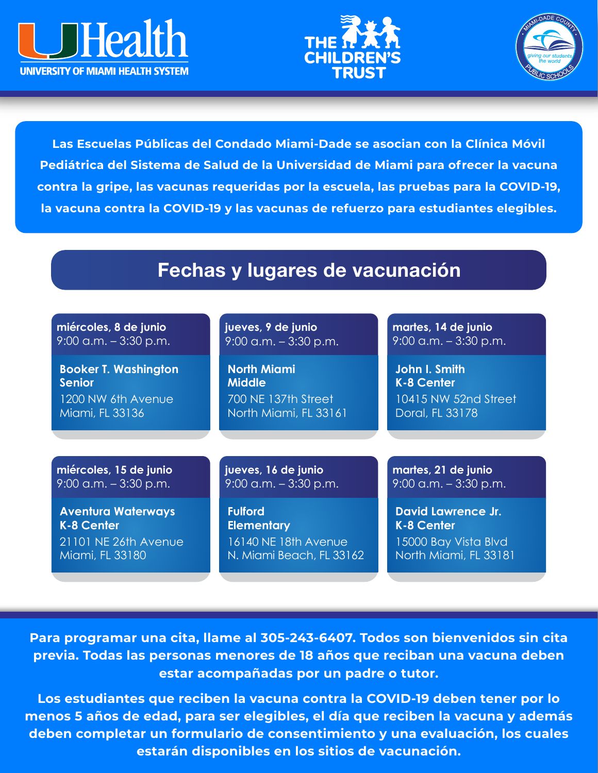





**Las Escuelas Públicas del Condado Miami-Dade se asocian con la Clínica Móvil Pediátrica del Sistema de Salud de la Universidad de Miami para ofrecer la vacuna contra la gripe, las vacunas requeridas por la escuela, las pruebas para la COVID-19, la vacuna contra la COVID-19 y las vacunas de refuerzo para estudiantes elegibles.**

### Fechas y lugares de vacunación

| miércoles, 8 de junio       | jueves, 9 de junio       | martes, 14 de junio       |
|-----------------------------|--------------------------|---------------------------|
| $9:00$ a.m. $-3:30$ p.m.    | $9:00$ a.m. $-3:30$ p.m. | $9:00$ a.m. $-3:30$ p.m.  |
| <b>Booker T. Washington</b> | <b>North Miami</b>       | John I. Smith             |
| <b>Senior</b>               | <b>Middle</b>            | <b>K-8 Center</b>         |
| 1200 NW 6th Avenue          | 700 NE 137th Street      | 10415 NW 52nd Street      |
| Miami, FL 33136             | North Miami, FL 33161    | Doral, FL 33178           |
| miércoles, 15 de junio      | jueves, 16 de junio      | martes, 21 de junio       |
| $9:00$ a.m. $-3:30$ p.m.    | $9:00$ a.m. $-3:30$ p.m. | $9:00$ a.m. $-3:30$ p.m.  |
| <b>Aventura Waterways</b>   | <b>Fulford</b>           | <b>David Lawrence Jr.</b> |
| <b>K-8 Center</b>           | <b>Elementary</b>        | <b>K-8 Center</b>         |
| 21101 NE 26th Avenue        | 16140 NE 18th Avenue     | 15000 Bay Vista Blvd      |
| Miami, FL 33180             | N. Miami Beach, FL 33162 | North Miami, FL 33181     |

**Para programar una cita, llame al 305-243-6407. Todos son bienvenidos sin cita previa. Todas las personas menores de 18 años que reciban una vacuna deben estar acompañadas por un padre o tutor.** 

**Los estudiantes que reciben la vacuna contra la COVID-19 deben tener por lo menos 5 años de edad, para ser elegibles, el día que reciben la vacuna y además deben completar un formulario de consentimiento y una evaluación, los cuales estarán disponibles en los sitios de vacunación.**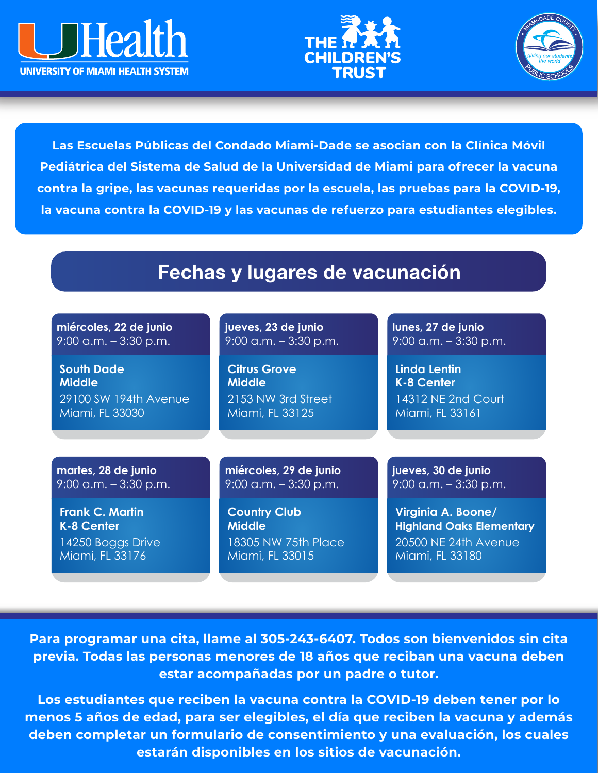





**Las Escuelas Públicas del Condado Miami-Dade se asocian con la Clínica Móvil Pediátrica del Sistema de Salud de la Universidad de Miami para ofrecer la vacuna contra la gripe, las vacunas requeridas por la escuela, las pruebas para la COVID-19, la vacuna contra la COVID-19 y las vacunas de refuerzo para estudiantes elegibles.**

#### Fechas y lugares de vacunación

| miércoles, 22 de junio   | jueves, 23 de junio      | lunes, 27 de junio              |
|--------------------------|--------------------------|---------------------------------|
| $9:00$ a.m. $-3:30$ p.m. | $9:00$ a.m. $-3:30$ p.m. | $9:00$ a.m. $-3:30$ p.m.        |
| <b>South Dade</b>        | <b>Citrus Grove</b>      | Linda Lentin                    |
| <b>Middle</b>            | <b>Middle</b>            | <b>K-8 Center</b>               |
| 29100 SW 194th Avenue    | 2153 NW 3rd Street       | 14312 NE 2nd Court              |
| Miami, FL 33030          | Miami, FL 33125          | Miami, FL 33161                 |
|                          |                          |                                 |
| martes, 28 de junio      | miércoles, 29 de junio   | jueves, 30 de junio             |
| $9:00$ a.m. $-3:30$ p.m. | $9:00$ a.m. $-3:30$ p.m. | $9:00$ a.m. $-3:30$ p.m.        |
| <b>Frank C. Martin</b>   | <b>Country Club</b>      | Virginia A. Boone/              |
| K-8 Center               | <b>Middle</b>            | <b>Highland Oaks Elementary</b> |
| 14250 Boggs Drive        | 18305 NW 75th Place      | 20500 NE 24th Avenue            |
| Miami, FL 33176          | Miami, FL 33015          | Miami, FL 33180                 |

**Para programar una cita, llame al 305-243-6407. Todos son bienvenidos sin cita previa. Todas las personas menores de 18 años que reciban una vacuna deben estar acompañadas por un padre o tutor.** 

**Los estudiantes que reciben la vacuna contra la COVID-19 deben tener por lo menos 5 años de edad, para ser elegibles, el día que reciben la vacuna y además deben completar un formulario de consentimiento y una evaluación, los cuales estarán disponibles en los sitios de vacunación.**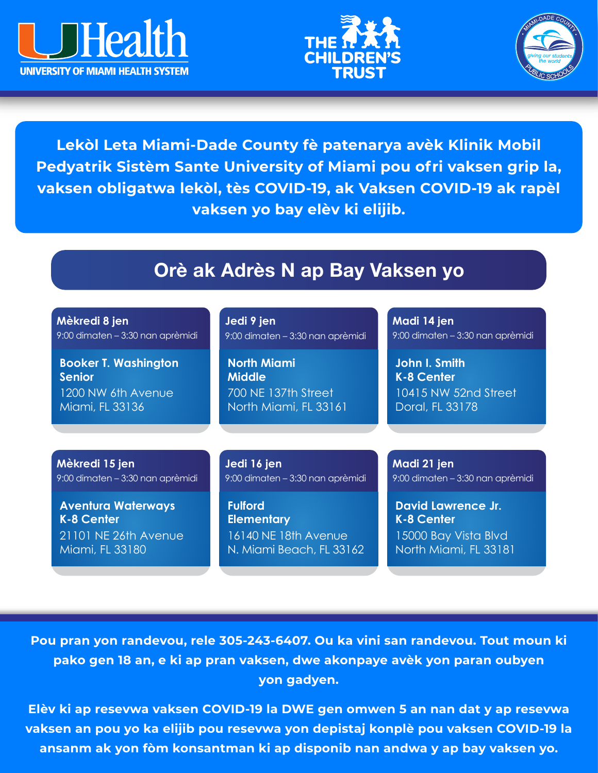





**Lekòl Leta Miami-Dade County fè patenarya avèk Klinik Mobil Pedyatrik Sistèm Sante University of Miami pou ofri vaksen grip la, vaksen obligatwa lekòl, tès COVID-19, ak Vaksen COVID-19 ak rapèl vaksen yo bay elèv ki elijib.** 

### Orè ak Adrès N ap Bay Vaksen yo

| Mèkredi 8 jen                    | Jedi 9 jen                       | Madi 14 jen                      |
|----------------------------------|----------------------------------|----------------------------------|
| 9:00 dimaten - 3:30 nan aprèmidi | 9:00 dimaten - 3:30 nan aprèmidi | 9:00 dimaten - 3:30 nan aprèmidi |
| <b>Booker T. Washington</b>      | <b>North Miami</b>               | John I. Smith                    |
| <b>Senior</b>                    | <b>Middle</b>                    | <b>K-8 Center</b>                |
| 1200 NW 6th Avenue               | 700 NE 137th Street              | 10415 NW 52nd Street             |
| Miami, FL 33136                  | North Miami, FL 33161            | Doral, FL 33178                  |
|                                  |                                  |                                  |
| Mèkredi 15 jen                   | Jedi 16 jen                      | Madi 21 jen                      |
| 9:00 dimaten - 3:30 nan aprèmidi | 9:00 dimaten - 3:30 nan aprèmidi | 9:00 dimaten - 3:30 nan aprèmidi |
| <b>Aventura Waterways</b>        | <b>Fulford</b>                   | <b>David Lawrence Jr.</b>        |
| <b>K-8 Center</b>                | <b>Elementary</b>                | <b>K-8 Center</b>                |
| 21101 NE 26th Avenue             | 16140 NE 18th Avenue             | 15000 Bay Vista Blvd             |
| Miami, FL 33180                  | N. Miami Beach, FL 33162         | North Miami, FL 33181            |

**Pou pran yon randevou, rele 305-243-6407. Ou ka vini san randevou. Tout moun ki pako gen 18 an, e ki ap pran vaksen, dwe akonpaye avèk yon paran oubyen yon gadyen.** 

**Elèv ki ap resevwa vaksen COVID-19 la DWE gen omwen 5 an nan dat y ap resevwa vaksen an pou yo ka elijib pou resevwa yon depistaj konplè pou vaksen COVID-19 la ansanm ak yon fòm konsantman ki ap disponib nan andwa y ap bay vaksen yo.**